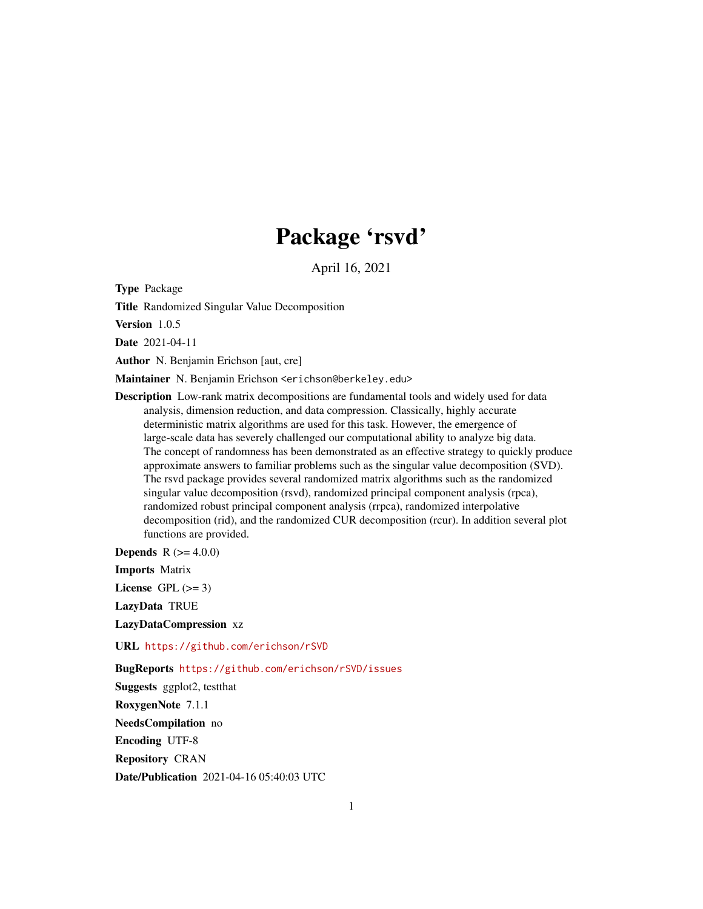# Package 'rsvd'

April 16, 2021

<span id="page-0-0"></span>Type Package

Title Randomized Singular Value Decomposition

Version 1.0.5

Date 2021-04-11

Author N. Benjamin Erichson [aut, cre]

Maintainer N. Benjamin Erichson <erichson@berkeley.edu>

Description Low-rank matrix decompositions are fundamental tools and widely used for data analysis, dimension reduction, and data compression. Classically, highly accurate deterministic matrix algorithms are used for this task. However, the emergence of large-scale data has severely challenged our computational ability to analyze big data. The concept of randomness has been demonstrated as an effective strategy to quickly produce approximate answers to familiar problems such as the singular value decomposition (SVD). The rsvd package provides several randomized matrix algorithms such as the randomized singular value decomposition (rsvd), randomized principal component analysis (rpca), randomized robust principal component analysis (rrpca), randomized interpolative decomposition (rid), and the randomized CUR decomposition (rcur). In addition several plot functions are provided.

**Depends** R  $(>= 4.0.0)$ 

Imports Matrix

License GPL  $(>= 3)$ 

LazyData TRUE

LazyDataCompression xz

URL <https://github.com/erichson/rSVD>

BugReports <https://github.com/erichson/rSVD/issues>

Suggests ggplot2, testthat RoxygenNote 7.1.1 NeedsCompilation no Encoding UTF-8 Repository CRAN Date/Publication 2021-04-16 05:40:03 UTC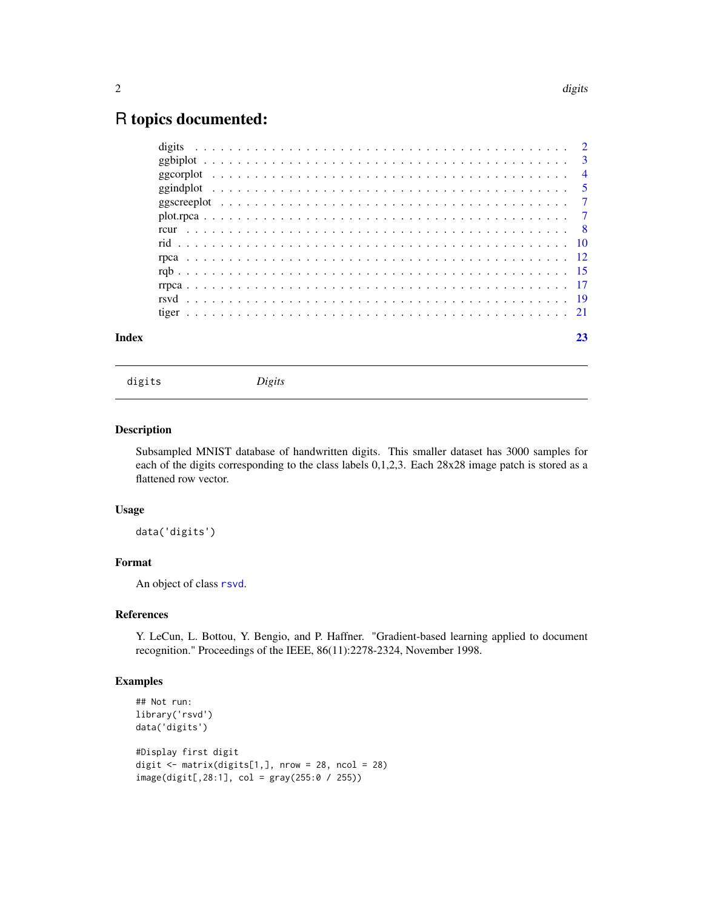# <span id="page-1-0"></span>R topics documented:

| Index |  | 23 |
|-------|--|----|
|       |  |    |
|       |  |    |
|       |  |    |
|       |  |    |
|       |  |    |
|       |  |    |
|       |  |    |
|       |  |    |
|       |  |    |
|       |  |    |
|       |  |    |
|       |  |    |
|       |  |    |

digits *Digits*

#### Description

Subsampled MNIST database of handwritten digits. This smaller dataset has 3000 samples for each of the digits corresponding to the class labels 0,1,2,3. Each 28x28 image patch is stored as a flattened row vector.

# Usage

data('digits')

# Format

An object of class [rsvd](#page-18-1).

# References

Y. LeCun, L. Bottou, Y. Bengio, and P. Haffner. "Gradient-based learning applied to document recognition." Proceedings of the IEEE, 86(11):2278-2324, November 1998.

# Examples

```
## Not run:
library('rsvd')
data('digits')
#Display first digit
digit \le matrix(digits[1,], nrow = 28, ncol = 28)
image(digit[,28:1], col = gray(255:0 / 255))
```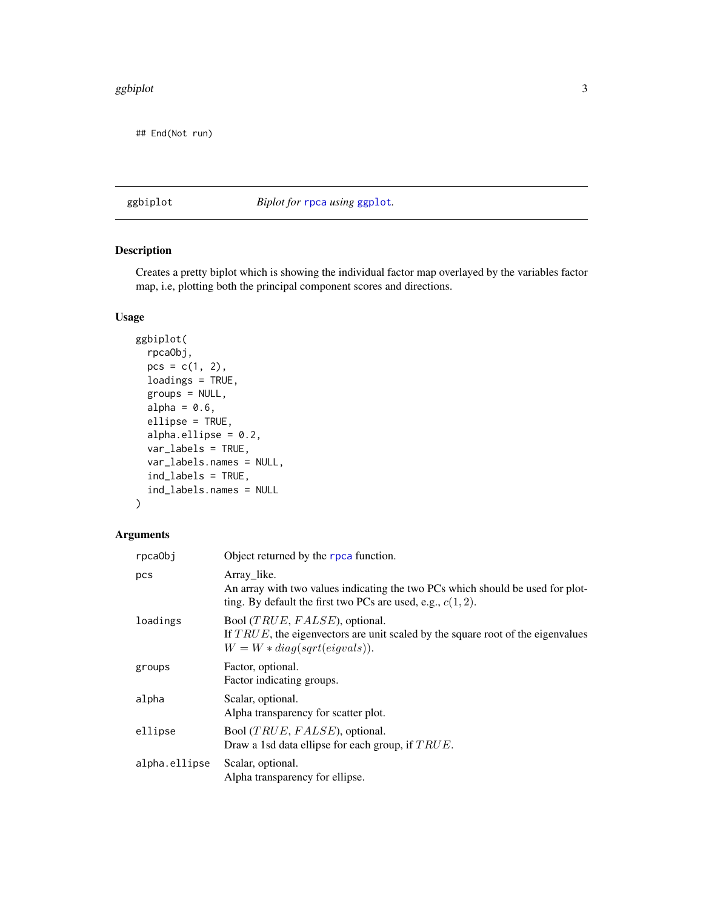#### <span id="page-2-0"></span>ggbiplot 3

## End(Not run)

# ggbiplot *Biplot for* [rpca](#page-11-1) *using* [ggplot](#page-0-0)*.*

# Description

Creates a pretty biplot which is showing the individual factor map overlayed by the variables factor map, i.e, plotting both the principal component scores and directions.

#### Usage

```
ggbiplot(
  rpcaObj,
 pcs = c(1, 2),
  loadings = TRUE,
  groups = NULL,
  alpha = 0.6,
  ellipse = TRUE,
  alpha.ellipse = 0.2,
  var_labels = TRUE,
  var_labels.names = NULL,
  ind_labels = TRUE,
  ind_labels.names = NULL
)
```
# Arguments

| rpcaObj       | Object returned by the rpca function.                                                                                                                           |
|---------------|-----------------------------------------------------------------------------------------------------------------------------------------------------------------|
| pcs           | Array_like.<br>An array with two values indicating the two PCs which should be used for plot-<br>ting. By default the first two PCs are used, e.g., $c(1, 2)$ . |
| loadings      | Bool $(TRUE, FALSE)$ , optional.<br>If $TRUE$ , the eigenvectors are unit scaled by the square root of the eigenvalues<br>$W = W * diag(sqrt(eigvals)).$        |
| groups        | Factor, optional.<br>Factor indicating groups.                                                                                                                  |
| alpha         | Scalar, optional.<br>Alpha transparency for scatter plot.                                                                                                       |
| ellipse       | Bool $(TRUE, FALSE)$ , optional.<br>Draw a 1sd data ellipse for each group, if $TRUE$ .                                                                         |
| alpha.ellipse | Scalar, optional.<br>Alpha transparency for ellipse.                                                                                                            |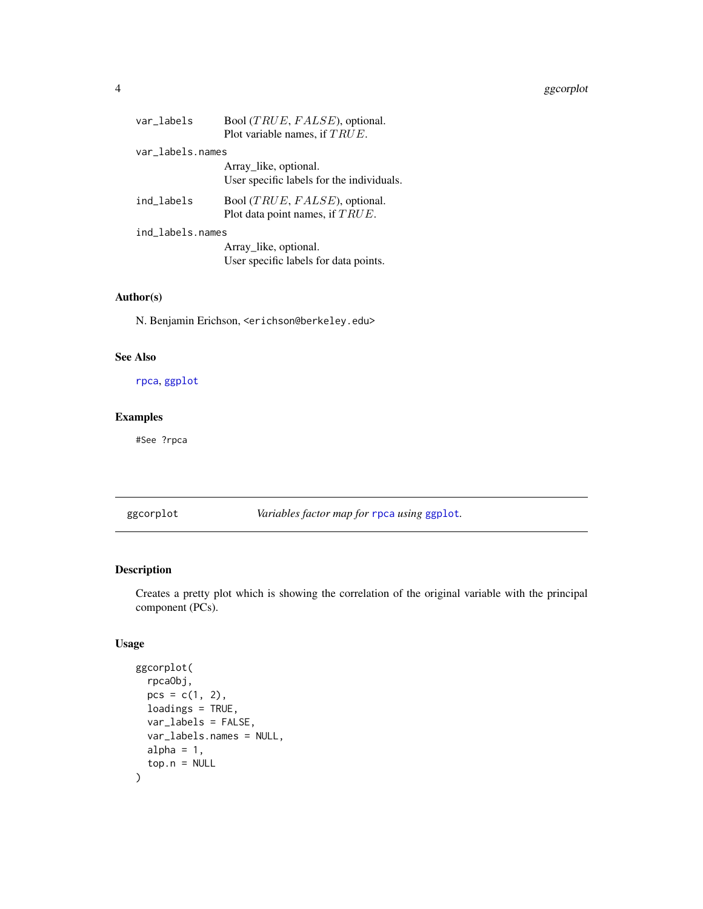#### <span id="page-3-0"></span>4 ggcorplot

| var labels       | Bool (TRUE, FALSE), optional.<br>Plot variable names, if $TRUE$ .      |
|------------------|------------------------------------------------------------------------|
| var labels.names |                                                                        |
|                  | Array_like, optional.<br>User specific labels for the individuals.     |
| ind_labels       | Bool $(TRUE, FALSE)$ , optional.<br>Plot data point names, if $TRUE$ . |
| ind_labels.names |                                                                        |
|                  | Array like, optional.<br>User specific labels for data points.         |

# Author(s)

N. Benjamin Erichson, <erichson@berkeley.edu>

### See Also

[rpca](#page-11-1), [ggplot](#page-0-0)

# Examples

#See ?rpca

<span id="page-3-1"></span>ggcorplot *Variables factor map for* [rpca](#page-11-1) *using* [ggplot](#page-0-0)*.*

# Description

Creates a pretty plot which is showing the correlation of the original variable with the principal component (PCs).

# Usage

```
ggcorplot(
  rpcaObj,
  pcs = c(1, 2),
  loadings = TRUE,
  var_labels = FALSE,
  var_labels.names = NULL,
  alpha = 1,
  top.n = NULL\mathcal{E}
```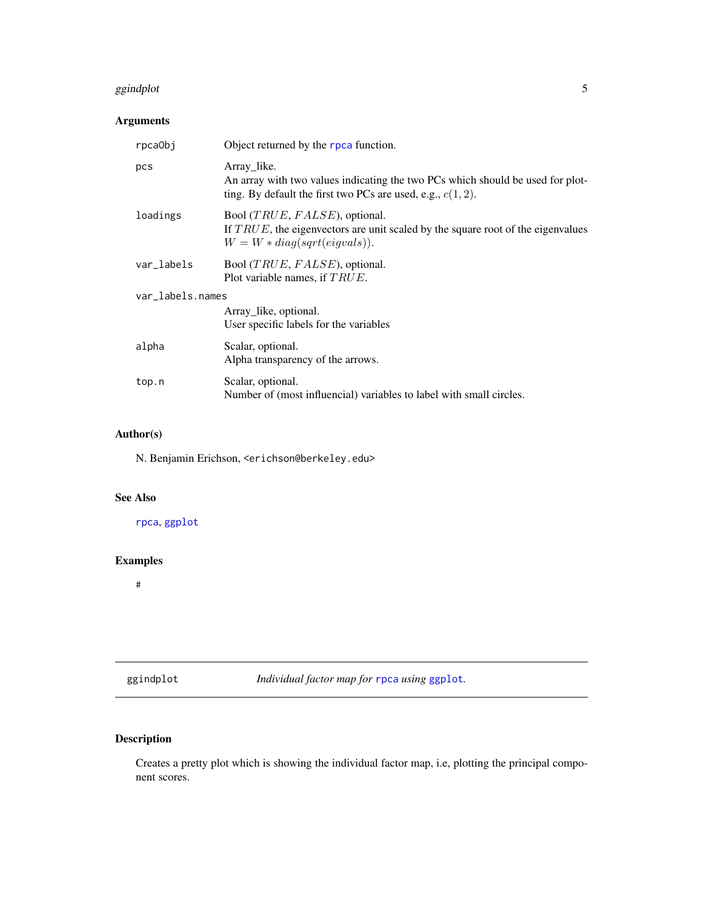#### <span id="page-4-0"></span>ggindplot 5

# Arguments

| rpca0bj          | Object returned by the rpca function.                                                                                                                           |  |
|------------------|-----------------------------------------------------------------------------------------------------------------------------------------------------------------|--|
| pcs              | Array_like.<br>An array with two values indicating the two PCs which should be used for plot-<br>ting. By default the first two PCs are used, e.g., $c(1, 2)$ . |  |
| loadings         | Bool $(TRUE, FALSE)$ , optional.<br>If $TRUE$ , the eigenvectors are unit scaled by the square root of the eigenvalues<br>$W = W * diag(sqrt(eigvals)).$        |  |
| var_labels       | Bool $(TRUE, FALSE)$ , optional.<br>Plot variable names, if $TRUE$ .                                                                                            |  |
| var_labels.names |                                                                                                                                                                 |  |
|                  | Array like, optional.<br>User specific labels for the variables                                                                                                 |  |
| alpha            | Scalar, optional.<br>Alpha transparency of the arrows.                                                                                                          |  |
| top.n            | Scalar, optional.<br>Number of (most influencial) variables to label with small circles.                                                                        |  |

# Author(s)

N. Benjamin Erichson, <erichson@berkeley.edu>

# See Also

[rpca](#page-11-1), [ggplot](#page-0-0)

# Examples

#

<span id="page-4-1"></span>ggindplot *Individual factor map for* [rpca](#page-11-1) *using* [ggplot](#page-0-0)*.*

# Description

Creates a pretty plot which is showing the individual factor map, i.e, plotting the principal component scores.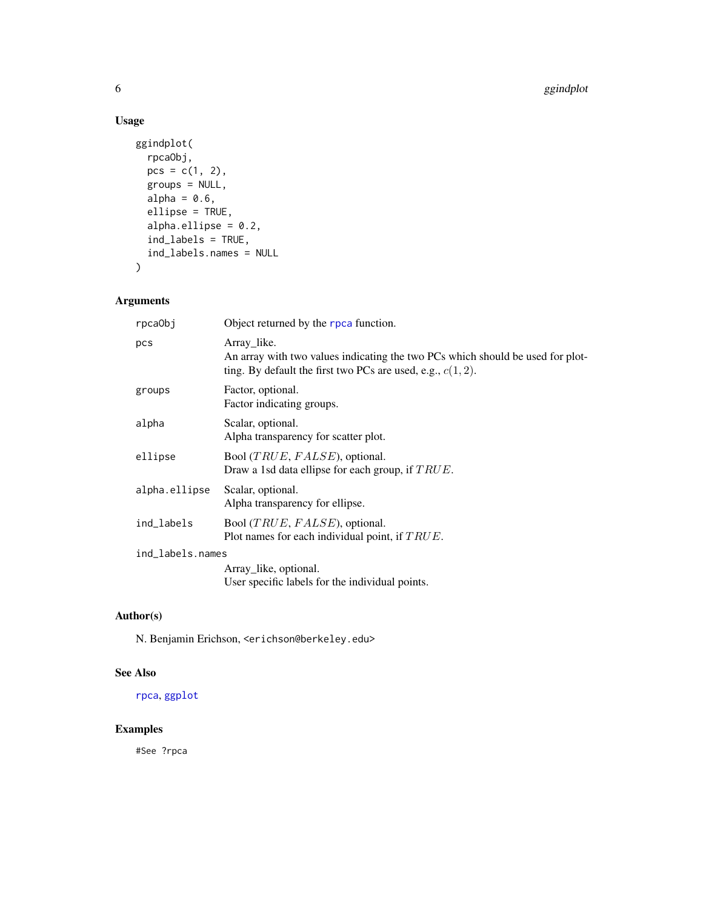# Usage

```
ggindplot(
 rpcaObj,
 pcs = c(1, 2),
 groups = NULL,
 alpha = 0.6,
 ellipse = TRUE,
  alpha.ellipse = 0.2,
  ind_labels = TRUE,
 ind_labels.names = NULL
)
```
# Arguments

| rpca0bj          | Object returned by the rpca function.                                                                                                                           |
|------------------|-----------------------------------------------------------------------------------------------------------------------------------------------------------------|
| pcs              | Array_like.<br>An array with two values indicating the two PCs which should be used for plot-<br>ting. By default the first two PCs are used, e.g., $c(1, 2)$ . |
| groups           | Factor, optional.<br>Factor indicating groups.                                                                                                                  |
| alpha            | Scalar, optional.<br>Alpha transparency for scatter plot.                                                                                                       |
| ellipse          | Bool $(TRUE, FALSE)$ , optional.<br>Draw a 1sd data ellipse for each group, if $TRUE$ .                                                                         |
| alpha.ellipse    | Scalar, optional.<br>Alpha transparency for ellipse.                                                                                                            |
| ind_labels       | Bool $(TRUE, FALSE)$ , optional.<br>Plot names for each individual point, if $TRUE$ .                                                                           |
| ind_labels.names |                                                                                                                                                                 |
|                  | Array like, optional.<br>User specific labels for the individual points.                                                                                        |
|                  |                                                                                                                                                                 |

# Author(s)

N. Benjamin Erichson, <erichson@berkeley.edu>

# See Also

[rpca](#page-11-1), [ggplot](#page-0-0)

# Examples

#See ?rpca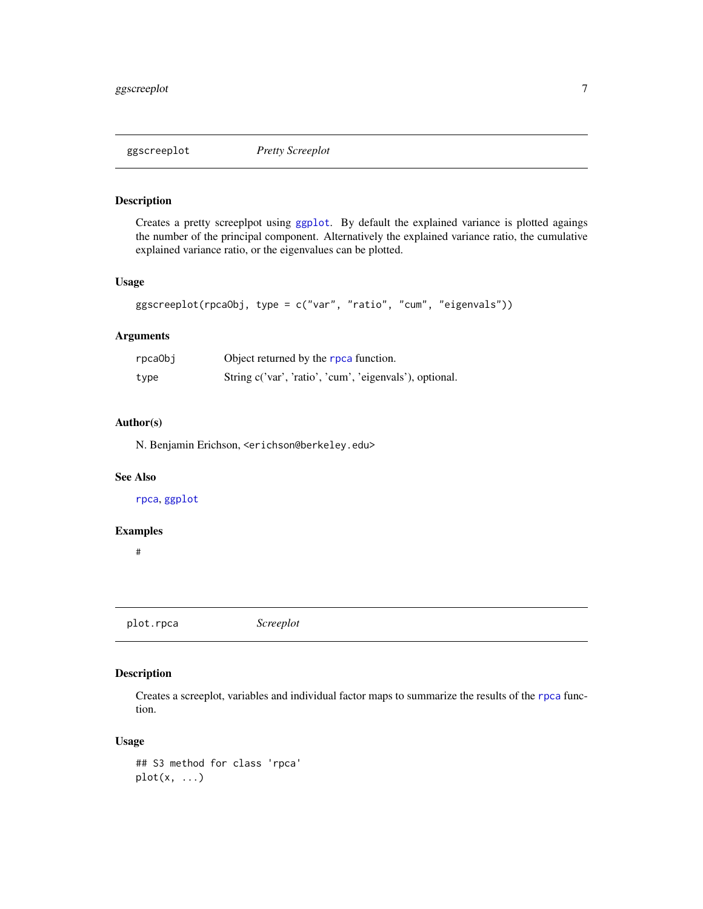<span id="page-6-1"></span><span id="page-6-0"></span>

# Description

Creates a pretty screeplpot using [ggplot](#page-0-0). By default the explained variance is plotted agaings the number of the principal component. Alternatively the explained variance ratio, the cumulative explained variance ratio, or the eigenvalues can be plotted.

#### Usage

```
ggscreeplot(rpcaObj, type = c("var", "ratio", "cum", "eigenvals"))
```
## Arguments

| rpcaObj | Object returned by the rpca function.                   |
|---------|---------------------------------------------------------|
| type    | String c('var', 'ratio', 'cum', 'eigenvals'), optional. |

# Author(s)

N. Benjamin Erichson, <erichson@berkeley.edu>

#### See Also

[rpca](#page-11-1), [ggplot](#page-0-0)

#### Examples

#

<span id="page-6-2"></span>plot.rpca *Screeplot*

# Description

Creates a screeplot, variables and individual factor maps to summarize the results of the [rpca](#page-11-1) function.

#### Usage

```
## S3 method for class 'rpca'
plot(x, \ldots)
```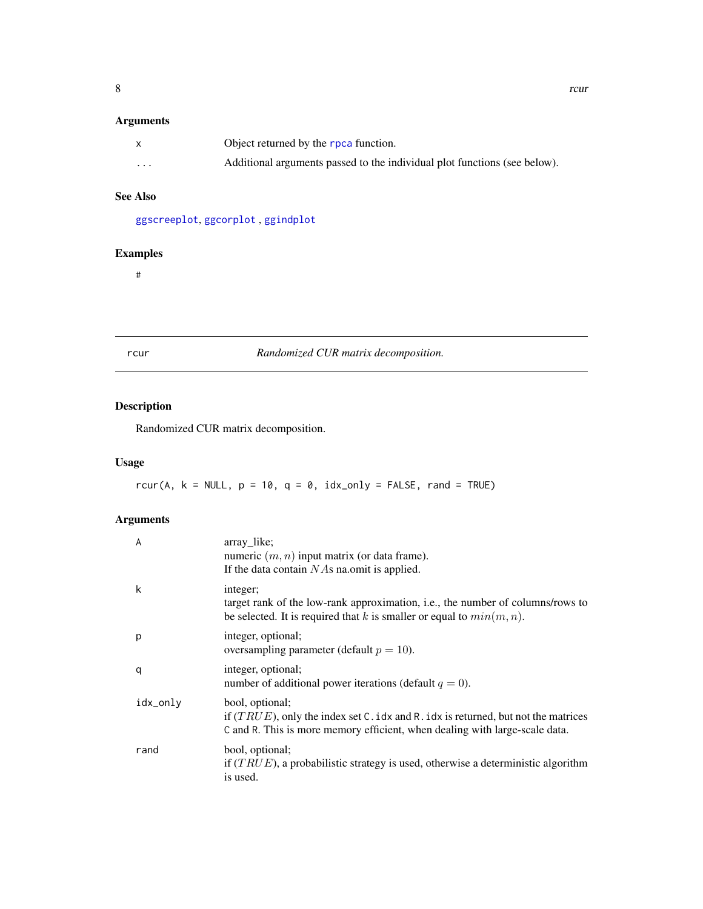# <span id="page-7-0"></span>Arguments

|                         | Object returned by the rpca function.                                     |
|-------------------------|---------------------------------------------------------------------------|
| $\cdot$ $\cdot$ $\cdot$ | Additional arguments passed to the individual plot functions (see below). |

# See Also

[ggscreeplot](#page-6-1), [ggcorplot](#page-3-1) , [ggindplot](#page-4-1)

# Examples

#

<span id="page-7-1"></span>

# rcur *Randomized CUR matrix decomposition.*

# Description

Randomized CUR matrix decomposition.

# Usage

rcur(A,  $k = NULL$ ,  $p = 10$ ,  $q = 0$ ,  $idx\_only = FALSE$ , rand = TRUE)

# Arguments

| $\overline{A}$ | array_like;<br>numeric $(m, n)$ input matrix (or data frame).<br>If the data contain $N\text{As}$ na.omit is applied.                                                                  |
|----------------|----------------------------------------------------------------------------------------------------------------------------------------------------------------------------------------|
| k              | integer;<br>target rank of the low-rank approximation, i.e., the number of columns/rows to<br>be selected. It is required that k is smaller or equal to $min(m, n)$ .                  |
| p              | integer, optional;<br>oversampling parameter (default $p = 10$ ).                                                                                                                      |
| q              | integer, optional;<br>number of additional power iterations (default $q = 0$ ).                                                                                                        |
| idx_only       | bool, optional;<br>if $(TRUE)$ , only the index set C. idx and R. idx is returned, but not the matrices<br>C and R. This is more memory efficient, when dealing with large-scale data. |
| rand           | bool, optional;<br>if $(TRUE)$ , a probabilistic strategy is used, otherwise a deterministic algorithm<br>is used.                                                                     |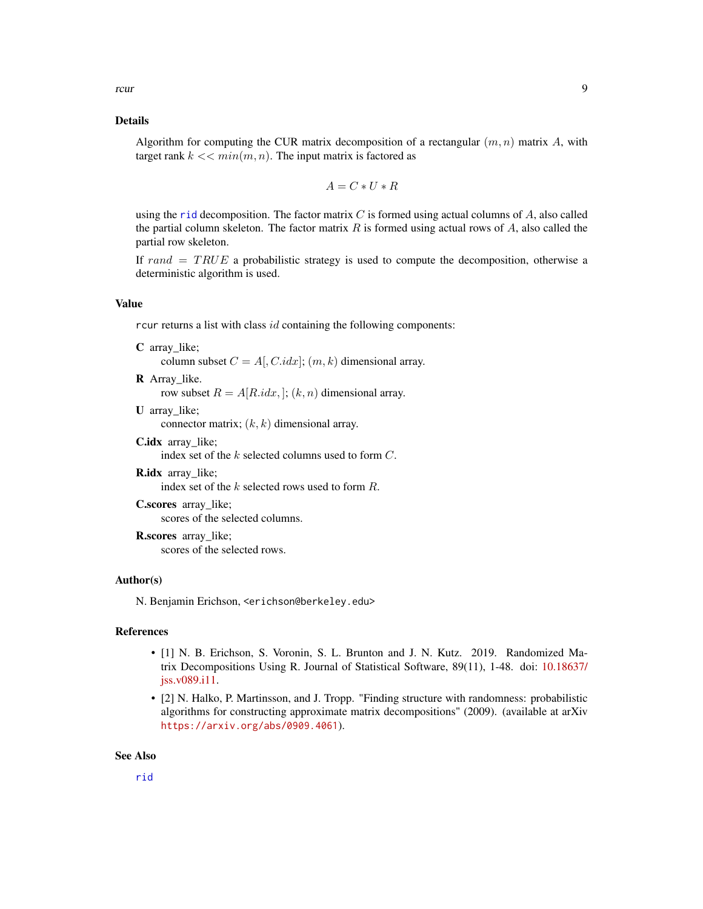#### <span id="page-8-0"></span>Details

Algorithm for computing the CUR matrix decomposition of a rectangular  $(m, n)$  matrix A, with target rank  $k \ll \min(m, n)$ . The input matrix is factored as

$$
A = C * U * R
$$

using the [rid](#page-9-1) decomposition. The factor matrix  $C$  is formed using actual columns of  $A$ , also called the partial column skeleton. The factor matrix  $R$  is formed using actual rows of  $A$ , also called the partial row skeleton.

If  $rand = TRUE$  a probabilistic strategy is used to compute the decomposition, otherwise a deterministic algorithm is used.

# Value

rcur returns a list with class  $id$  containing the following components:

- C array\_like; column subset  $C = A[, C.idx]; (m, k)$  dimensional array.
- R Array\_like. row subset  $R = A[R.idx, ]$ ;  $(k, n)$  dimensional array.
- U array\_like;

connector matrix;  $(k, k)$  dimensional array.

C.idx array\_like;

index set of the k selected columns used to form C.

**R.idx** array like; index set of the k selected rows used to form R. C.scores array\_like;

scores of the selected columns.

R.scores array\_like; scores of the selected rows.

#### Author(s)

N. Benjamin Erichson, <erichson@berkeley.edu>

# References

- [1] N. B. Erichson, S. Voronin, S. L. Brunton and J. N. Kutz. 2019. Randomized Matrix Decompositions Using R. Journal of Statistical Software, 89(11), 1-48. doi: [10.18637/](https://doi.org/10.18637/jss.v089.i11) [jss.v089.i11.](https://doi.org/10.18637/jss.v089.i11)
- [2] N. Halko, P. Martinsson, and J. Tropp. "Finding structure with randomness: probabilistic algorithms for constructing approximate matrix decompositions" (2009). (available at arXiv <https://arxiv.org/abs/0909.4061>).

#### See Also

[rid](#page-9-1)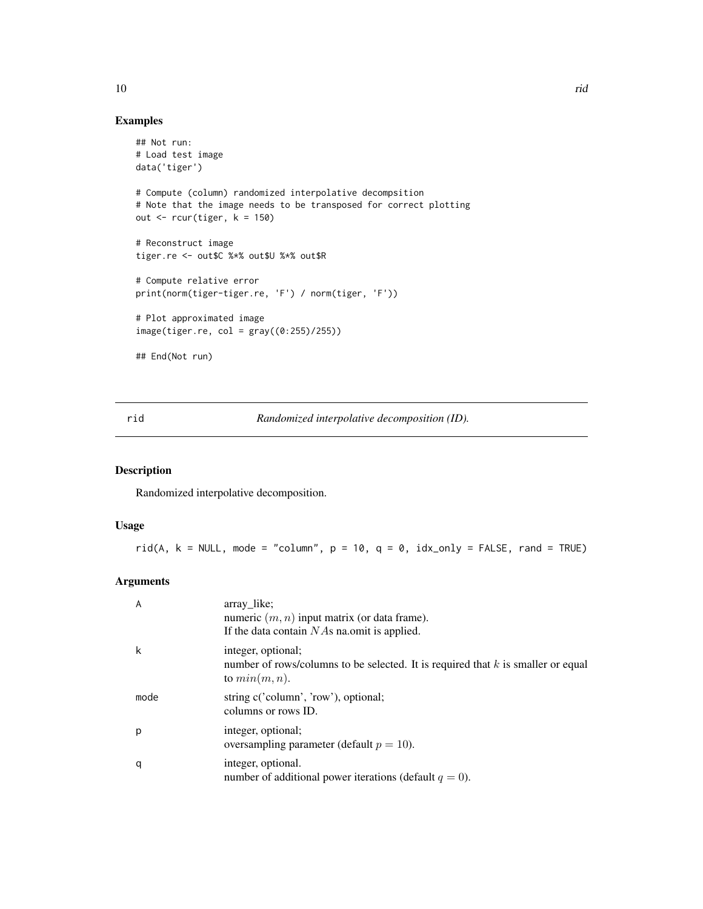# Examples

```
## Not run:
# Load test image
data('tiger')
# Compute (column) randomized interpolative decompsition
# Note that the image needs to be transposed for correct plotting
out \le rcur(tiger, k = 150)
# Reconstruct image
tiger.re <- out$C %*% out$U %*% out$R
# Compute relative error
print(norm(tiger-tiger.re, 'F') / norm(tiger, 'F'))
# Plot approximated image
image(tiger.re, col = gray((0:255)/255))## End(Not run)
```
<span id="page-9-1"></span>rid *Randomized interpolative decomposition (ID).*

# Description

Randomized interpolative decomposition.

#### Usage

```
rid(A, k = NULL, mode = "column", p = 10, q = 0, idx\_only = FALSE, rand = TRUE)
```
#### Arguments

| A    | array like;<br>numeric $(m, n)$ input matrix (or data frame).<br>If the data contain $N\text{As}$ na.omit is applied.        |
|------|------------------------------------------------------------------------------------------------------------------------------|
| k    | integer, optional;<br>number of rows/columns to be selected. It is required that $k$ is smaller or equal<br>to $min(m, n)$ . |
| mode | string c('column', 'row'), optional;<br>columns or rows ID.                                                                  |
| p    | integer, optional;<br>oversampling parameter (default $p = 10$ ).                                                            |
| q    | integer, optional.<br>number of additional power iterations (default $q = 0$ ).                                              |

<span id="page-9-0"></span>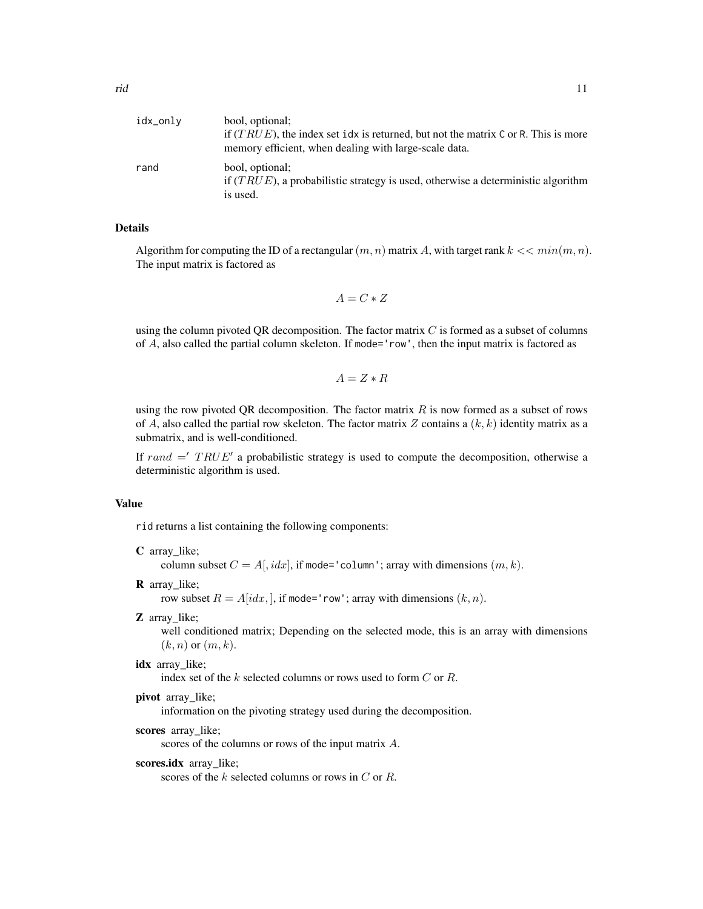| idx_onlv | bool, optional;<br>if $(TRUE)$ , the index set idx is returned, but not the matrix C or R. This is more<br>memory efficient, when dealing with large-scale data. |
|----------|------------------------------------------------------------------------------------------------------------------------------------------------------------------|
| rand     | bool, optional;<br>if $(TRUE)$ , a probabilistic strategy is used, otherwise a deterministic algorithm<br>is used.                                               |

# Details

Algorithm for computing the ID of a rectangular  $(m, n)$  matrix A, with target rank  $k \ll \min(m, n)$ . The input matrix is factored as

 $A = C * Z$ 

using the column pivoted QR decomposition. The factor matrix  $C$  is formed as a subset of columns of A, also called the partial column skeleton. If mode='row', then the input matrix is factored as

 $A = Z * R$ 

using the row pivoted QR decomposition. The factor matrix  $R$  is now formed as a subset of rows of A, also called the partial row skeleton. The factor matrix Z contains a  $(k, k)$  identity matrix as a submatrix, and is well-conditioned.

If rand  $=$  TRUE' a probabilistic strategy is used to compute the decomposition, otherwise a deterministic algorithm is used.

#### Value

rid returns a list containing the following components:

C array\_like;

column subset  $C = A$ ,  $idx$ , if mode='column'; array with dimensions  $(m, k)$ .

**R** array like;

row subset  $R = A[i dx, ]$ , if mode='row'; array with dimensions  $(k, n)$ .

Z array\_like;

well conditioned matrix; Depending on the selected mode, this is an array with dimensions  $(k, n)$  or  $(m, k)$ .

idx array like;

index set of the k selected columns or rows used to form C or R.

pivot array like;

information on the pivoting strategy used during the decomposition.

scores array\_like;

scores of the columns or rows of the input matrix A.

scores.idx array\_like;

scores of the k selected columns or rows in C or R.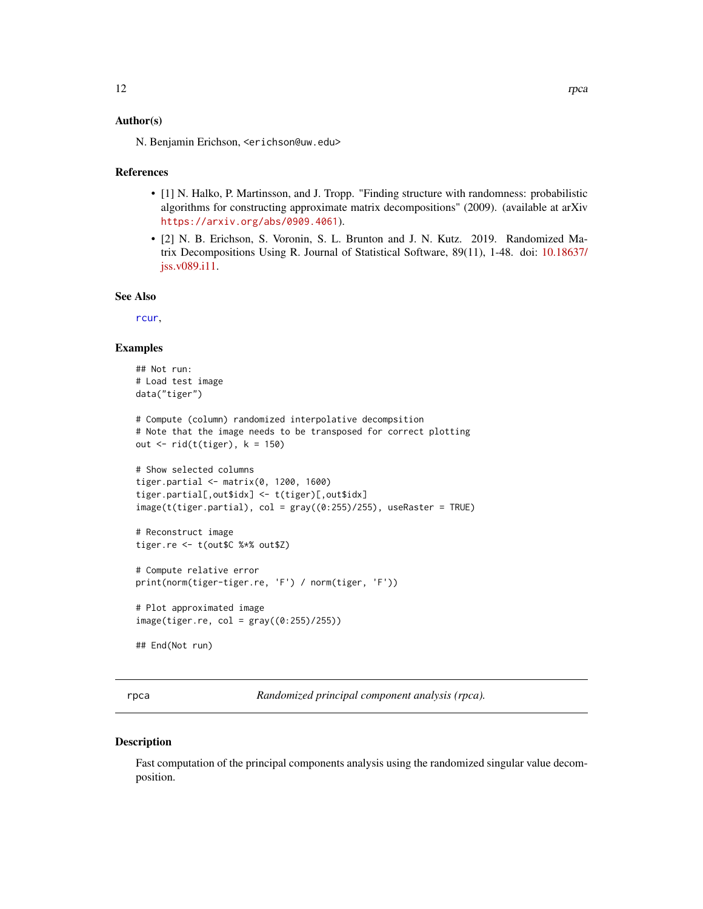#### <span id="page-11-0"></span>Author(s)

N. Benjamin Erichson, <erichson@uw.edu>

#### References

- [1] N. Halko, P. Martinsson, and J. Tropp. "Finding structure with randomness: probabilistic algorithms for constructing approximate matrix decompositions" (2009). (available at arXiv <https://arxiv.org/abs/0909.4061>).
- [2] N. B. Erichson, S. Voronin, S. L. Brunton and J. N. Kutz. 2019. Randomized Matrix Decompositions Using R. Journal of Statistical Software, 89(11), 1-48. doi: [10.18637/](https://doi.org/10.18637/jss.v089.i11) [jss.v089.i11.](https://doi.org/10.18637/jss.v089.i11)

#### See Also

[rcur](#page-7-1),

#### Examples

```
## Not run:
# Load test image
data("tiger")
# Compute (column) randomized interpolative decompsition
# Note that the image needs to be transposed for correct plotting
out \le- rid(t(tiger), k = 150)
# Show selected columns
tiger.partial <- matrix(0, 1200, 1600)
tiger.partial[,out$idx] <- t(tiger)[,out$idx]
image(t(tiger.partial), col = gray((0:255)/255), useRaster = TRUE)# Reconstruct image
tiger.re <- t(out$C %*% out$Z)
# Compute relative error
print(norm(tiger-tiger.re, 'F') / norm(tiger, 'F'))
# Plot approximated image
image(tiger.re, col = gray((0:255)/255))## End(Not run)
```
<span id="page-11-1"></span>rpca *Randomized principal component analysis (rpca).*

#### Description

Fast computation of the principal components analysis using the randomized singular value decomposition.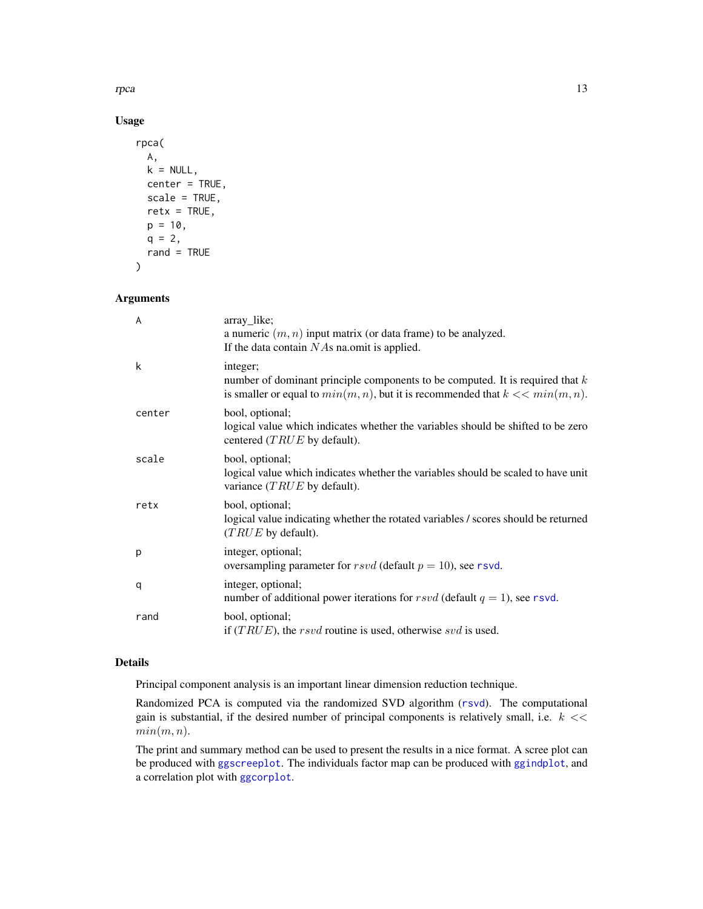<span id="page-12-0"></span>rpca the contract of the contract of the contract of the contract of the contract of the contract of the contract of the contract of the contract of the contract of the contract of the contract of the contract of the contr

# Usage

```
rpca(
 A,
 k = NULL,center = TRUE,
  scale = TRUE,retx = TRUE,p = 10,
 q = 2,
  rand = TRUE
\mathcal{L}
```
# Arguments

| A      | array_like;<br>a numeric $(m, n)$ input matrix (or data frame) to be analyzed.<br>If the data contain $NAs$ na.omit is applied.                                                     |
|--------|-------------------------------------------------------------------------------------------------------------------------------------------------------------------------------------|
| k      | integer;<br>number of dominant principle components to be computed. It is required that $k$<br>is smaller or equal to $min(m, n)$ , but it is recommended that $k \ll \min(m, n)$ . |
| center | bool, optional;<br>logical value which indicates whether the variables should be shifted to be zero<br>centered $(TRUE$ by default).                                                |
| scale  | bool, optional;<br>logical value which indicates whether the variables should be scaled to have unit<br>variance $(TRUE$ by default).                                               |
| retx   | bool, optional;<br>logical value indicating whether the rotated variables / scores should be returned<br>$(TRUE)$ by default).                                                      |
| p      | integer, optional;<br>oversampling parameter for $rsvd$ (default $p = 10$ ), see rsvd.                                                                                              |
| q      | integer, optional;<br>number of additional power iterations for rsvd (default $q = 1$ ), see rsvd.                                                                                  |
| rand   | bool, optional;<br>if $(TRUE)$ , the <i>rsvd</i> routine is used, otherwise <i>svd</i> is used.                                                                                     |

# Details

Principal component analysis is an important linear dimension reduction technique.

Randomized PCA is computed via the randomized SVD algorithm ([rsvd](#page-18-1)). The computational gain is substantial, if the desired number of principal components is relatively small, i.e.  $k \ll 1$  $min(m, n)$ .

The print and summary method can be used to present the results in a nice format. A scree plot can be produced with [ggscreeplot](#page-6-1). The individuals factor map can be produced with [ggindplot](#page-4-1), and a correlation plot with [ggcorplot](#page-3-1).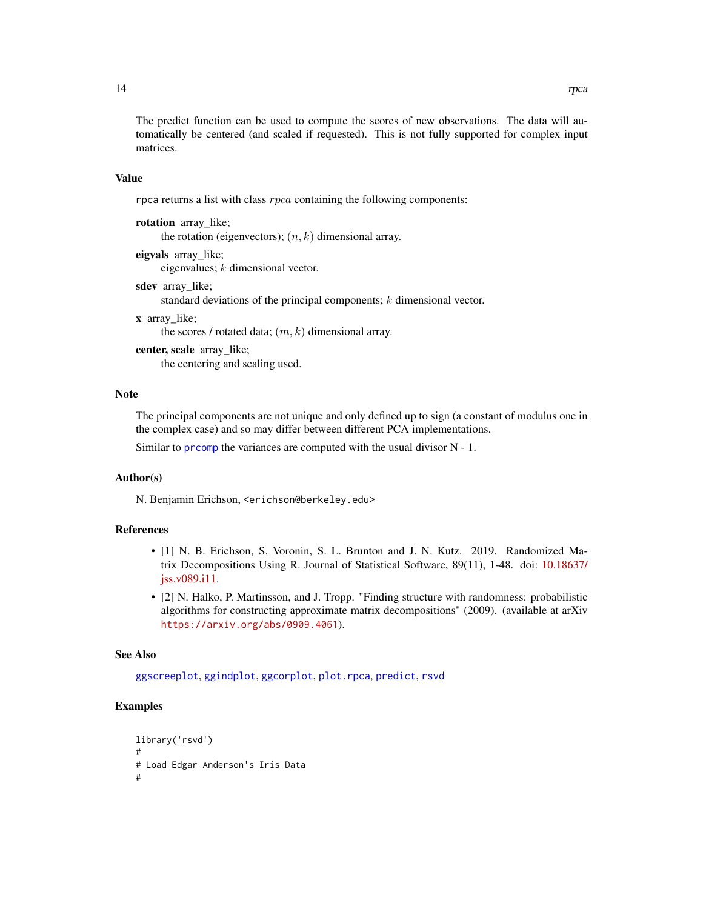<span id="page-13-0"></span>The predict function can be used to compute the scores of new observations. The data will automatically be centered (and scaled if requested). This is not fully supported for complex input matrices.

#### Value

rpca returns a list with class  $rpca$  containing the following components:

rotation array like; the rotation (eigenvectors);  $(n, k)$  dimensional array.

eigvals array\_like; eigenvalues; k dimensional vector.

sdev array like;

standard deviations of the principal components; k dimensional vector.

x array\_like;

the scores / rotated data;  $(m, k)$  dimensional array.

center, scale array\_like; the centering and scaling used.

#### **Note**

The principal components are not unique and only defined up to sign (a constant of modulus one in the complex case) and so may differ between different PCA implementations.

Similar to [prcomp](#page-0-0) the variances are computed with the usual divisor  $N - 1$ .

#### Author(s)

N. Benjamin Erichson, <erichson@berkeley.edu>

#### References

- [1] N. B. Erichson, S. Voronin, S. L. Brunton and J. N. Kutz. 2019. Randomized Matrix Decompositions Using R. Journal of Statistical Software, 89(11), 1-48. doi: [10.18637/](https://doi.org/10.18637/jss.v089.i11) [jss.v089.i11.](https://doi.org/10.18637/jss.v089.i11)
- [2] N. Halko, P. Martinsson, and J. Tropp. "Finding structure with randomness: probabilistic algorithms for constructing approximate matrix decompositions" (2009). (available at arXiv <https://arxiv.org/abs/0909.4061>).

#### See Also

[ggscreeplot](#page-6-1), [ggindplot](#page-4-1), [ggcorplot](#page-3-1), [plot.rpca](#page-6-2), [predict](#page-0-0), [rsvd](#page-18-1)

# Examples

```
library('rsvd')
#
# Load Edgar Anderson's Iris Data
#
```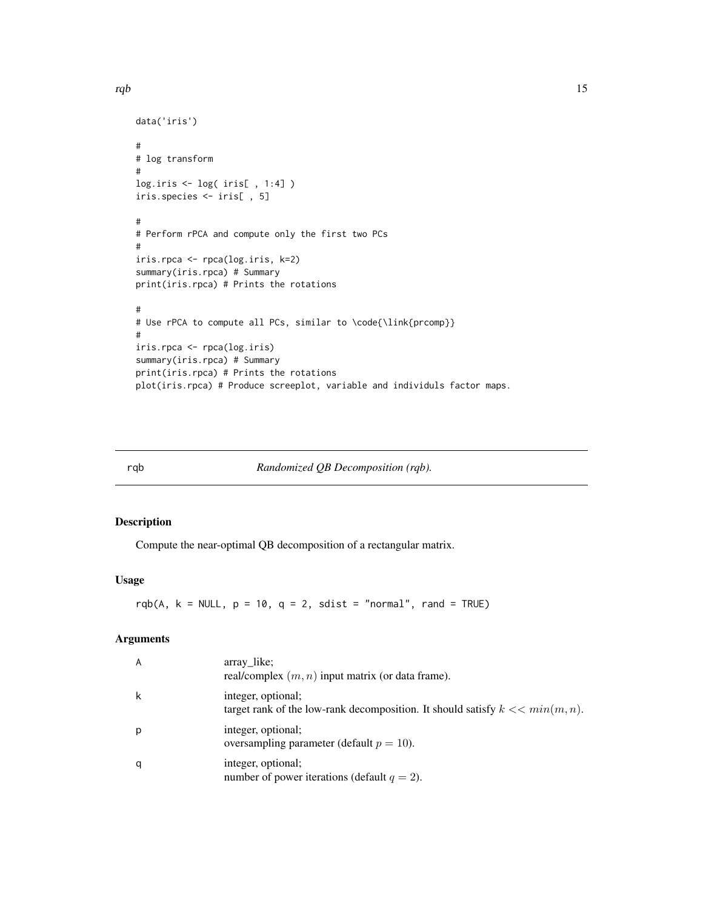#### <span id="page-14-0"></span>rqb  $15$

```
data('iris')
#
# log transform
#
log.iris <- log( iris[ , 1:4] )
iris.species <- iris[ , 5]
#
# Perform rPCA and compute only the first two PCs
#
iris.rpca <- rpca(log.iris, k=2)
summary(iris.rpca) # Summary
print(iris.rpca) # Prints the rotations
#
# Use rPCA to compute all PCs, similar to \code{\link{prcomp}}
#
iris.rpca <- rpca(log.iris)
summary(iris.rpca) # Summary
print(iris.rpca) # Prints the rotations
plot(iris.rpca) # Produce screeplot, variable and individuls factor maps.
```
rqb *Randomized QB Decomposition (rqb).*

# Description

Compute the near-optimal QB decomposition of a rectangular matrix.

#### Usage

rqb(A,  $k = NULL$ ,  $p = 10$ ,  $q = 2$ , sdist = "normal", rand = TRUE)

# Arguments

| $\overline{A}$ | array like;<br>real/complex $(m, n)$ input matrix (or data frame).                                      |
|----------------|---------------------------------------------------------------------------------------------------------|
| k              | integer, optional;<br>target rank of the low-rank decomposition. It should satisfy $k \ll \min(m, n)$ . |
| p              | integer, optional;<br>oversampling parameter (default $p = 10$ ).                                       |
| q              | integer, optional;<br>number of power iterations (default $q = 2$ ).                                    |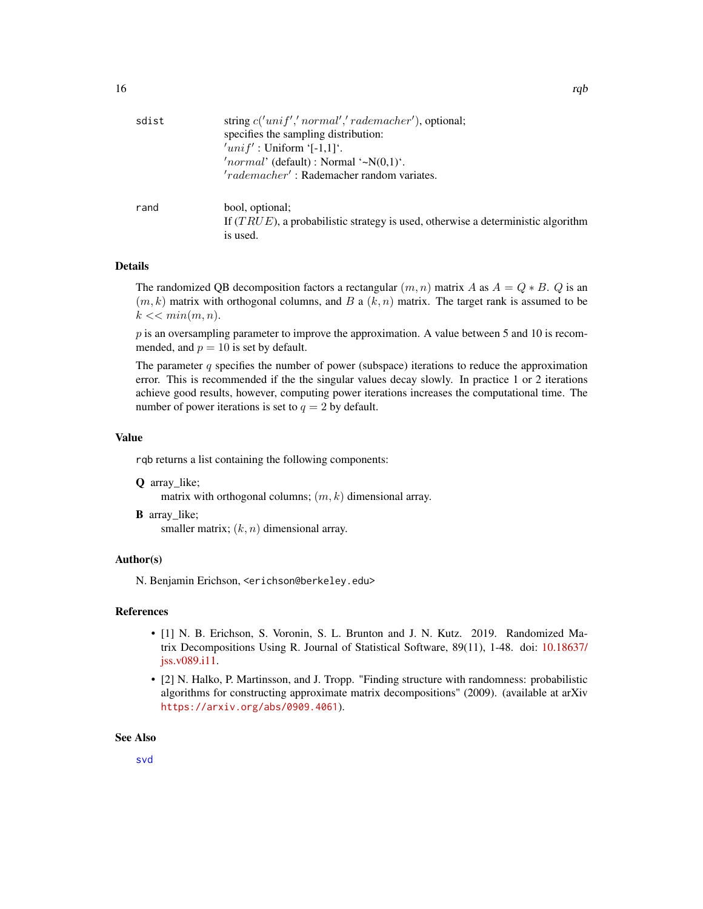<span id="page-15-0"></span>

| sdist | string $c('unif', 'normal', 'rademacher')$ , optional;                              |  |  |
|-------|-------------------------------------------------------------------------------------|--|--|
|       | specifies the sampling distribution:                                                |  |  |
|       | $'unif'$ : Uniform '[-1,1]'.                                                        |  |  |
|       | 'normal' (default) : Normal '~ $N(0,1)$ '.                                          |  |  |
|       | 'rademacher': Rademacher random variates.                                           |  |  |
| rand  | bool, optional;                                                                     |  |  |
|       | If $(TRUE)$ , a probabilistic strategy is used, otherwise a deterministic algorithm |  |  |
|       | is used.                                                                            |  |  |

# Details

The randomized OB decomposition factors a rectangular  $(m, n)$  matrix A as  $A = Q * B$ . Q is an  $(m, k)$  matrix with orthogonal columns, and B a  $(k, n)$  matrix. The target rank is assumed to be  $k \ll \min(m, n)$ .

 $p$  is an oversampling parameter to improve the approximation. A value between 5 and 10 is recommended, and  $p = 10$  is set by default.

The parameter  $q$  specifies the number of power (subspace) iterations to reduce the approximation error. This is recommended if the the singular values decay slowly. In practice 1 or 2 iterations achieve good results, however, computing power iterations increases the computational time. The number of power iterations is set to  $q = 2$  by default.

#### Value

rqb returns a list containing the following components:

- Q array\_like;
	- matrix with orthogonal columns;  $(m, k)$  dimensional array.
- **B** array like; smaller matrix;  $(k, n)$  dimensional array.

#### Author(s)

N. Benjamin Erichson, <erichson@berkeley.edu>

#### References

- [1] N. B. Erichson, S. Voronin, S. L. Brunton and J. N. Kutz. 2019. Randomized Matrix Decompositions Using R. Journal of Statistical Software, 89(11), 1-48. doi: [10.18637/](https://doi.org/10.18637/jss.v089.i11) [jss.v089.i11.](https://doi.org/10.18637/jss.v089.i11)
- [2] N. Halko, P. Martinsson, and J. Tropp. "Finding structure with randomness: probabilistic algorithms for constructing approximate matrix decompositions" (2009). (available at arXiv <https://arxiv.org/abs/0909.4061>).

# See Also

[svd](#page-0-0)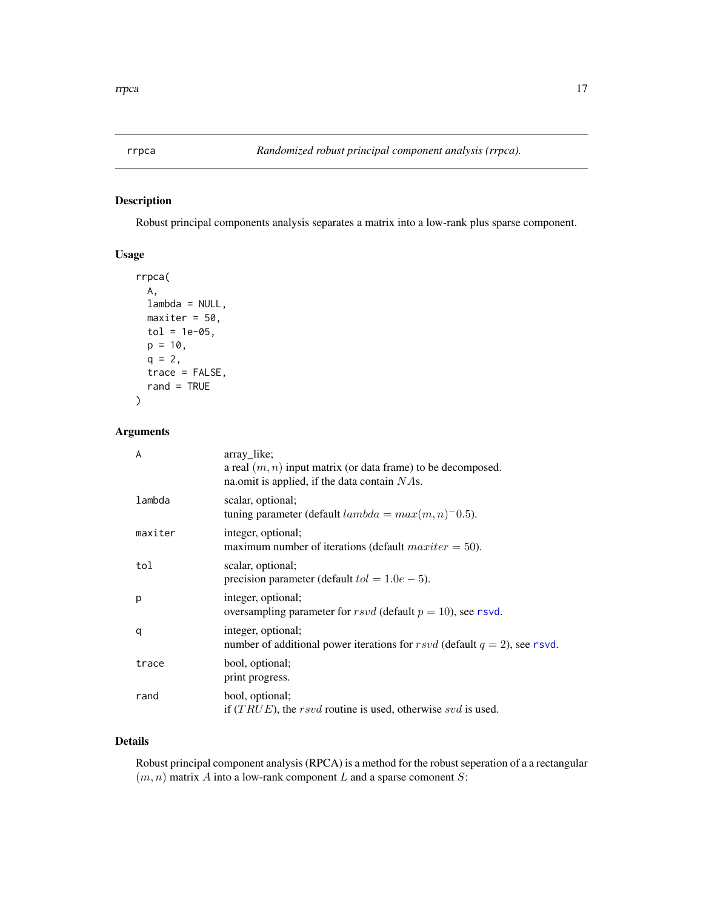<span id="page-16-0"></span>

# Description

Robust principal components analysis separates a matrix into a low-rank plus sparse component.

# Usage

```
rrpca(
 A,
 lambda = NULL,
 maxiter = 50,
 tol = 1e-05,p = 10,
 q = 2,trace = FALSE,
  rand = TRUE
)
```
# Arguments

| A       | array_like;<br>a real $(m, n)$ input matrix (or data frame) to be decomposed.<br>na.omit is applied, if the data contain $NAs$ . |
|---------|----------------------------------------------------------------------------------------------------------------------------------|
| lambda  | scalar, optional;<br>tuning parameter (default $lambda = max(m, n)$ <sup>-0.5</sup> ).                                           |
| maxiter | integer, optional;<br>maximum number of iterations (default $maxiter = 50$ ).                                                    |
| tol     | scalar, optional;<br>precision parameter (default $tol = 1.0e-5$ ).                                                              |
| p       | integer, optional;<br>oversampling parameter for $rsvd$ (default $p = 10$ ), see rsvd.                                           |
| q       | integer, optional;<br>number of additional power iterations for rsvd (default $q = 2$ ), see rsvd.                               |
| trace   | bool, optional;<br>print progress.                                                                                               |
| rand    | bool, optional;<br>if $(TRUE)$ , the rsvd routine is used, otherwise svd is used.                                                |

# Details

Robust principal component analysis (RPCA) is a method for the robust seperation of a a rectangular  $(m, n)$  matrix A into a low-rank component L and a sparse comonent S: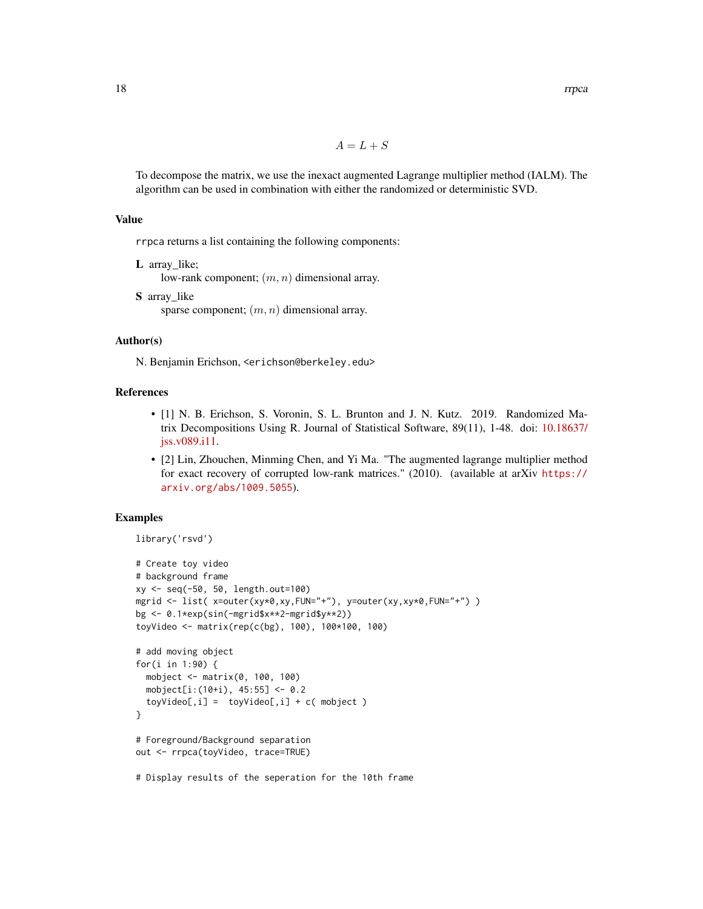$A = L + S$ 

To decompose the matrix, we use the inexact augmented Lagrange multiplier method (IALM). The algorithm can be used in combination with either the randomized or deterministic SVD.

### Value

rrpca returns a list containing the following components:

L array like;

low-rank component;  $(m, n)$  dimensional array.

S array\_like sparse component;  $(m, n)$  dimensional array.

#### Author(s)

N. Benjamin Erichson, <erichson@berkeley.edu>

# References

- [1] N. B. Erichson, S. Voronin, S. L. Brunton and J. N. Kutz. 2019. Randomized Matrix Decompositions Using R. Journal of Statistical Software, 89(11), 1-48. doi: [10.18637/](https://doi.org/10.18637/jss.v089.i11) [jss.v089.i11.](https://doi.org/10.18637/jss.v089.i11)
- [2] Lin, Zhouchen, Minming Chen, and Yi Ma. "The augmented lagrange multiplier method for exact recovery of corrupted low-rank matrices." (2010). (available at arXiv [https://](https://arxiv.org/abs/1009.5055) [arxiv.org/abs/1009.5055](https://arxiv.org/abs/1009.5055)).

#### Examples

```
library('rsvd')
```

```
# Create toy video
# background frame
xy <- seq(-50, 50, length.out=100)
mgrid <- list( x=outer(xy*0,xy,FUN="+"), y=outer(xy,xy*0,FUN="+") )
bg <- 0.1*exp(sin(-mgrid$x**2-mgrid$y**2))
toyVideo <- matrix(rep(c(bg), 100), 100*100, 100)
# add moving object
for(i in 1:90) {
  mobject <- matrix(0, 100, 100)
  mobject[i:(10+i), 45:55] <- 0.2
  toyVideo[, i] = toyVideo[, i] + c(mobject)}
# Foreground/Background separation
out <- rrpca(toyVideo, trace=TRUE)
```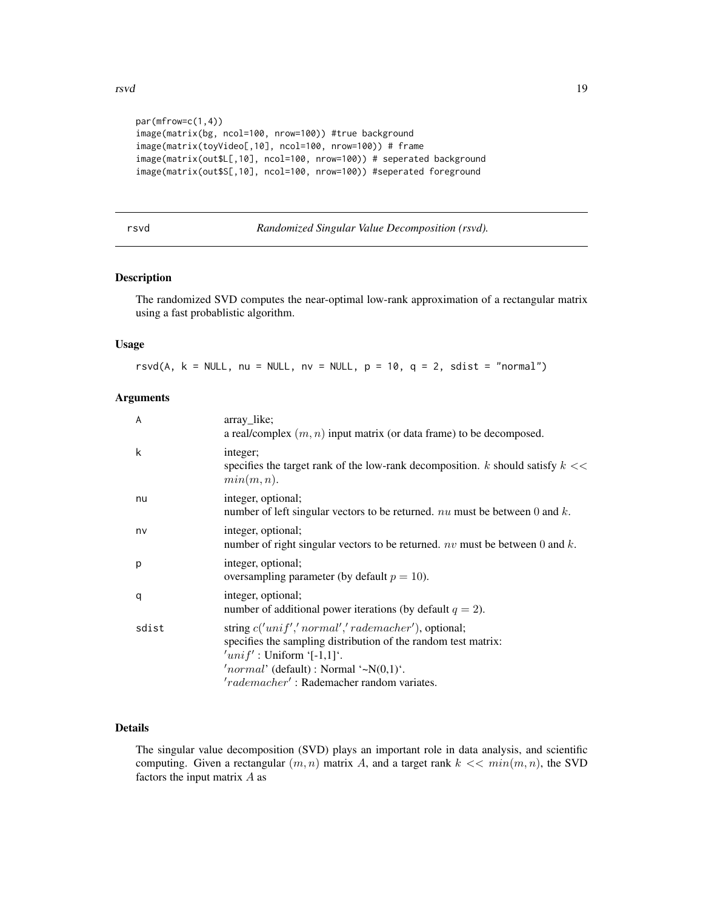```
par(mfrow=c(1,4))
image(matrix(bg, ncol=100, nrow=100)) #true background
image(matrix(toyVideo[,10], ncol=100, nrow=100)) # frame
image(matrix(out$L[,10], ncol=100, nrow=100)) # seperated background
image(matrix(out$S[,10], ncol=100, nrow=100)) #seperated foreground
```

| rsvd | Randomized Singular Value Decomposition (rsvd). |  |
|------|-------------------------------------------------|--|
|      |                                                 |  |

# Description

The randomized SVD computes the near-optimal low-rank approximation of a rectangular matrix using a fast probablistic algorithm.

#### Usage

rsvd(A,  $k = NULL$ , nu = NULL, nv = NULL,  $p = 10$ ,  $q = 2$ , sdist = "normal")

# Arguments

| $\overline{A}$ | array like;<br>a real/complex $(m, n)$ input matrix (or data frame) to be decomposed.                                                                                                                                                               |
|----------------|-----------------------------------------------------------------------------------------------------------------------------------------------------------------------------------------------------------------------------------------------------|
| k              | integer;<br>specifies the target rank of the low-rank decomposition. $k$ should satisfy $k \ll 1$<br>min(m, n).                                                                                                                                     |
| nu             | integer, optional;<br>number of left singular vectors to be returned. $nu$ must be between 0 and k.                                                                                                                                                 |
| nv             | integer, optional;<br>number of right singular vectors to be returned. $nv$ must be between 0 and $k$ .                                                                                                                                             |
| p              | integer, optional;<br>oversampling parameter (by default $p = 10$ ).                                                                                                                                                                                |
| q              | integer, optional;<br>number of additional power iterations (by default $q = 2$ ).                                                                                                                                                                  |
| sdist          | string $c('unif', 'normal', 'rademacher')$ , optional;<br>specifies the sampling distribution of the random test matrix:<br>$'unif'$ : Uniform '[-1,1]'.<br>'normal' (default) : Normal '~ $N(0,1)$ '.<br>'rademacher': Rademacher random variates. |

# Details

The singular value decomposition (SVD) plays an important role in data analysis, and scientific computing. Given a rectangular  $(m, n)$  matrix A, and a target rank  $k \ll \min(m, n)$ , the SVD factors the input matrix  $A$  as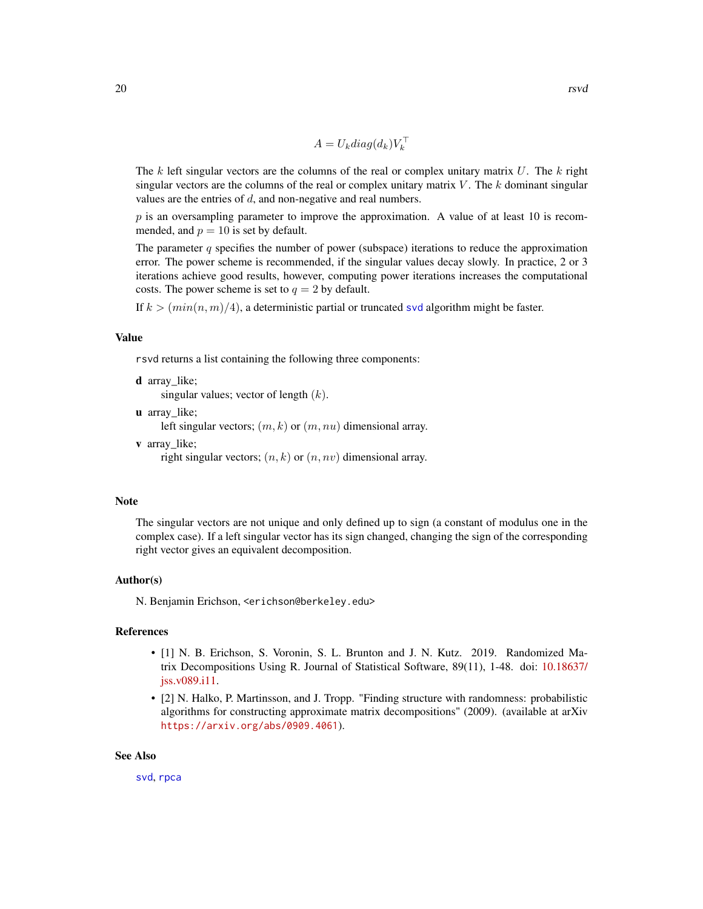$$
A = U_k diag(d_k) V_k^{\top}
$$

<span id="page-19-0"></span>The  $k$  left singular vectors are the columns of the real or complex unitary matrix  $U$ . The  $k$  right singular vectors are the columns of the real or complex unitary matrix  $V$ . The k dominant singular values are the entries of  $d$ , and non-negative and real numbers.

 $p$  is an oversampling parameter to improve the approximation. A value of at least 10 is recommended, and  $p = 10$  is set by default.

The parameter q specifies the number of power (subspace) iterations to reduce the approximation error. The power scheme is recommended, if the singular values decay slowly. In practice, 2 or 3 iterations achieve good results, however, computing power iterations increases the computational costs. The power scheme is set to  $q = 2$  by default.

If  $k > (min(n, m)/4)$ , a deterministic partial or truncated [svd](#page-0-0) algorithm might be faster.

#### Value

rsvd returns a list containing the following three components:

d array like;

singular values; vector of length  $(k)$ .

u array like;

left singular vectors;  $(m, k)$  or  $(m, nu)$  dimensional array.

v array\_like;

right singular vectors;  $(n, k)$  or  $(n, nv)$  dimensional array.

#### Note

The singular vectors are not unique and only defined up to sign (a constant of modulus one in the complex case). If a left singular vector has its sign changed, changing the sign of the corresponding right vector gives an equivalent decomposition.

#### Author(s)

N. Benjamin Erichson, <erichson@berkeley.edu>

# References

- [1] N. B. Erichson, S. Voronin, S. L. Brunton and J. N. Kutz. 2019. Randomized Matrix Decompositions Using R. Journal of Statistical Software, 89(11), 1-48. doi: [10.18637/](https://doi.org/10.18637/jss.v089.i11) [jss.v089.i11.](https://doi.org/10.18637/jss.v089.i11)
- [2] N. Halko, P. Martinsson, and J. Tropp. "Finding structure with randomness: probabilistic algorithms for constructing approximate matrix decompositions" (2009). (available at arXiv <https://arxiv.org/abs/0909.4061>).

#### See Also

[svd](#page-0-0), [rpca](#page-11-1)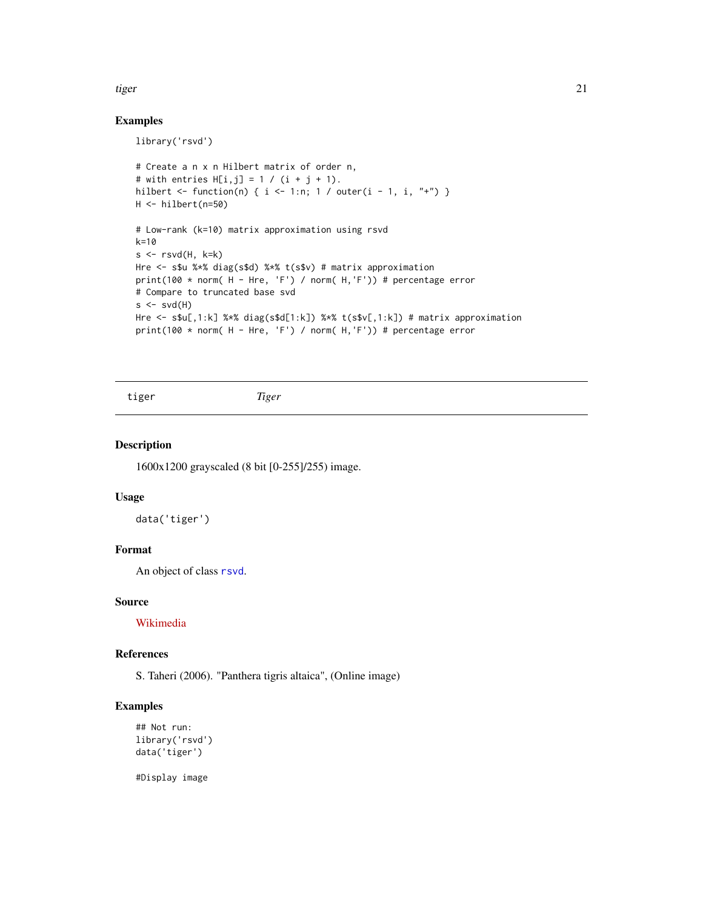#### <span id="page-20-0"></span>tiger 21 and 22 and 22 and 22 and 22 and 22 and 22 and 22 and 22 and 22 and 22 and 22 and 22 and 22 and 22 and 22 and 22 and 22 and 22 and 22 and 22 and 22 and 22 and 22 and 22 and 22 and 22 and 22 and 22 and 22 and 22 and

### Examples

library('rsvd')

```
# Create a n x n Hilbert matrix of order n,
# with entries H[i, j] = 1 / (i + j + 1).
hilbert <- function(n) { i <- 1:n; 1 / outer(i - 1, i, "+") }
H <- hilbert(n=50)
# Low-rank (k=10) matrix approximation using rsvd
k=10
s \leftarrow \text{rsvd}(H, k=k)Hre <- s$u %*% diag(s$d) %*% t(s$v) # matrix approximation
print(100 * norm( H - Hre, 'F') / norm( H,'F')) # percentage error
# Compare to truncated base svd
s \leftarrow svd(H)Hre <- s$u[,1:k] %*% diag(s$d[1:k]) %*% t(s$v[,1:k]) # matrix approximation
print(100 * norm( H - Hre, 'F') / norm( H, 'F')) # percentage error
```
tiger *Tiger*

#### Description

1600x1200 grayscaled (8 bit [0-255]/255) image.

#### Usage

data('tiger')

# Format

An object of class [rsvd](#page-18-1).

#### Source

[Wikimedia](https://en.wikipedia.org/wiki/File:Siberischer_tiger_de_edit02.jpg)

#### References

S. Taheri (2006). "Panthera tigris altaica", (Online image)

# Examples

```
## Not run:
library('rsvd')
data('tiger')
```
#Display image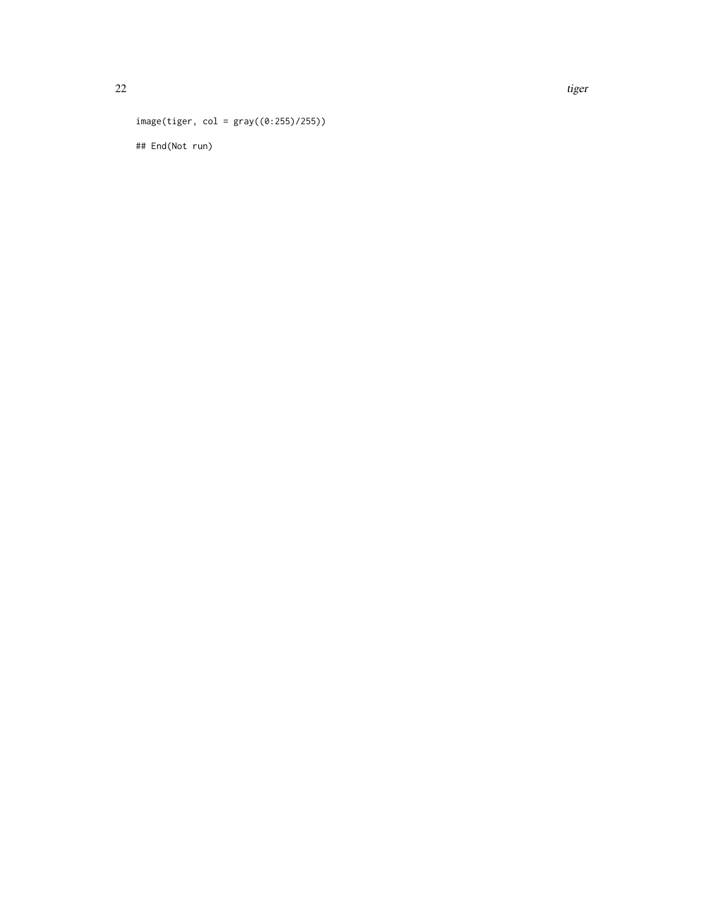```
image(tiger, col = gray((0:255)/255))
## End(Not run)
```